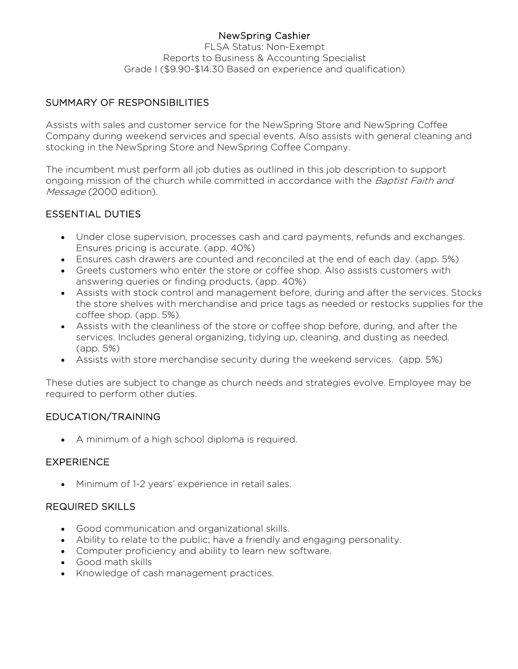# NewSpring Cashier

FLSA Status: Non-Exempt Reports to Business & Accounting Specialist Grade I (\$9.90-\$14.30 Based on experience and qualification)

# SUMMARY OF RESPONSIBILITIES

Assists with sales and customer service for the NewSpring Store and NewSpring Coffee Company during weekend services and special events. Also assists with general cleaning and stocking in the NewSpring Store and NewSpring Coffee Company.

The incumbent must perform all job duties as outlined in this job description to support ongoing mission of the church while committed in accordance with the Baptist Faith and Message (2000 edition).

## ESSENTIAL DUTIES

- Under close supervision, processes cash and card payments, refunds and exchanges. Ensures pricing is accurate. (app. 40%)
- Ensures cash drawers are counted and reconciled at the end of each day. (app. 5%)
- Greets customers who enter the store or coffee shop. Also assists customers with answering queries or finding products. (app. 40%)
- Assists with stock control and management before, during and after the services. Stocks the store shelves with merchandise and price tags as needed or restocks supplies for the coffee shop. (app. 5%)
- Assists with the cleanliness of the store or coffee shop before, during, and after the services. Includes general organizing, tidying up, cleaning, and dusting as needed. (app. 5%)
- Assists with store merchandise security during the weekend services. (app. 5%)

These duties are subject to change as church needs and strategies evolve. Employee may be required to perform other duties.

## EDUCATION/TRAINING

• A minimum of a high school diploma is required.

## **EXPERIENCE**

• Minimum of 1-2 years' experience in retail sales.

## REQUIRED SKILLS

- Good communication and organizational skills.
- Ability to relate to the public; have a friendly and engaging personality.
- Computer proficiency and ability to learn new software.
- Good math skills
- Knowledge of cash management practices.